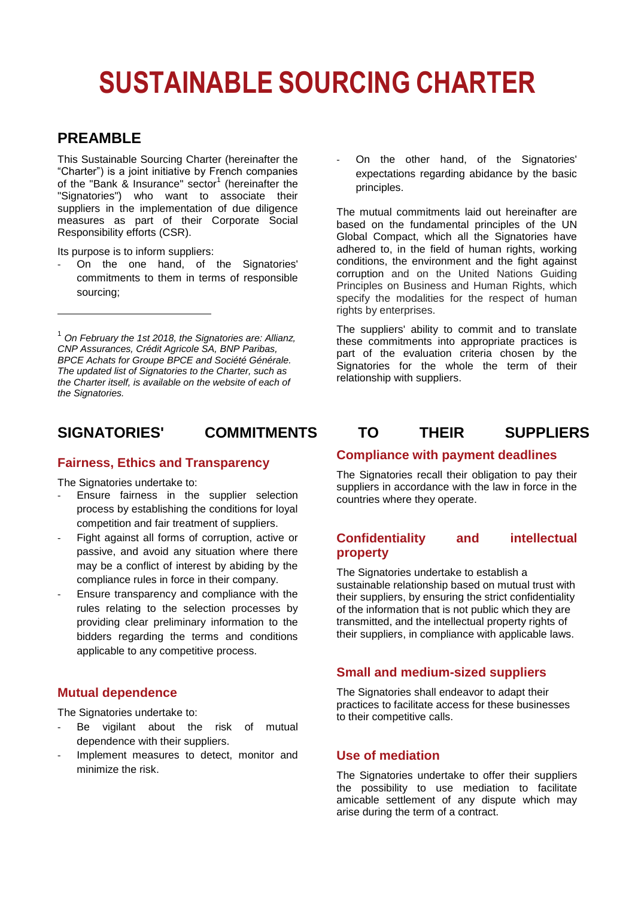# **SUSTAINABLE SOURCING CHARTER**

# **PREAMBLE**

1

This Sustainable Sourcing Charter (hereinafter the "Charter") is a joint initiative by French companies of the "Bank & Insurance" sector<sup>1</sup> (hereinafter the "Signatories") who want to associate their suppliers in the implementation of due diligence measures as part of their Corporate Social Responsibility efforts (CSR).

Its purpose is to inform suppliers:

On the one hand, of the Signatories' commitments to them in terms of responsible sourcing;

### **Fairness, Ethics and Transparency**

The Signatories undertake to:

- Ensure fairness in the supplier selection process by establishing the conditions for loyal competition and fair treatment of suppliers.
- Fight against all forms of corruption, active or passive, and avoid any situation where there may be a conflict of interest by abiding by the compliance rules in force in their company.
- Ensure transparency and compliance with the rules relating to the selection processes by providing clear preliminary information to the bidders regarding the terms and conditions applicable to any competitive process.

### **Mutual dependence**

The Signatories undertake to:

- Be vigilant about the risk of mutual dependence with their suppliers.
- Implement measures to detect, monitor and minimize the risk.

On the other hand, of the Signatories' expectations regarding abidance by the basic principles.

The mutual commitments laid out hereinafter are based on the fundamental principles of the UN Global Compact, which all the Signatories have adhered to, in the field of human rights, working conditions, the environment and the fight against corruption and on the United Nations Guiding Principles on Business and Human Rights, which specify the modalities for the respect of human rights by enterprises.

The suppliers' ability to commit and to translate these commitments into appropriate practices is part of the evaluation criteria chosen by the Signatories for the whole the term of their relationship with suppliers.

# **SIGNATORIES' COMMITMENTS TO THEIR SUPPLIERS**

#### **Compliance with payment deadlines**

The Signatories recall their obligation to pay their suppliers in accordance with the law in force in the countries where they operate.

# **Confidentiality and intellectual property**

The Signatories undertake to establish a sustainable relationship based on mutual trust with their suppliers, by ensuring the strict confidentiality of the information that is not public which they are transmitted, and the intellectual property rights of their suppliers, in compliance with applicable laws.

#### **Small and medium-sized suppliers**

The Signatories shall endeavor to adapt their practices to facilitate access for these businesses to their competitive calls.

# **Use of mediation**

The Signatories undertake to offer their suppliers the possibility to use mediation to facilitate amicable settlement of any dispute which may arise during the term of a contract.

<sup>1</sup> *On February the 1st 2018, the Signatories are: Allianz, CNP Assurances, Crédit Agricole SA, BNP Paribas, BPCE Achats for Groupe BPCE and Société Générale. The updated list of Signatories to the Charter, such as the Charter itself, is available on the website of each of the Signatories.*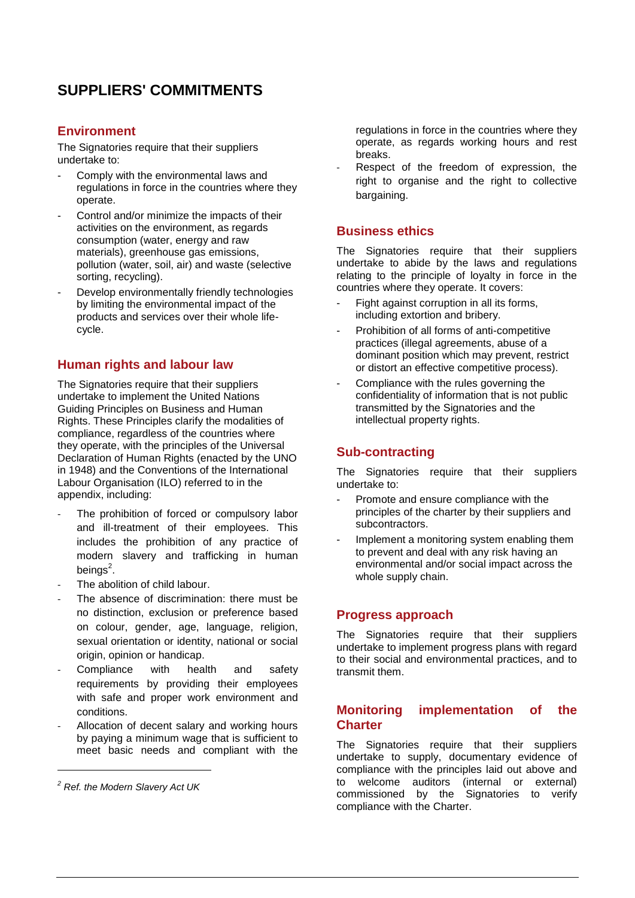# **SUPPLIERS' COMMITMENTS**

# **Environment**

The Signatories require that their suppliers undertake to:

- Comply with the environmental laws and regulations in force in the countries where they operate.
- Control and/or minimize the impacts of their activities on the environment, as regards consumption (water, energy and raw materials), greenhouse gas emissions, pollution (water, soil, air) and waste (selective sorting, recycling).
- Develop environmentally friendly technologies by limiting the environmental impact of the products and services over their whole lifecycle.

# **Human rights and labour law**

The Signatories require that their suppliers undertake to implement the United Nations Guiding Principles on Business and Human Rights. These Principles clarify the modalities of compliance, regardless of the countries where they operate, with the principles of the Universal Declaration of Human Rights (enacted by the UNO in 1948) and the Conventions of the International Labour Organisation (ILO) referred to in the appendix, including:

- The prohibition of forced or compulsory labor and ill-treatment of their employees. This includes the prohibition of any practice of modern slavery and trafficking in human beings $^2$ .
- The abolition of child labour.
- The absence of discrimination: there must be no distinction, exclusion or preference based on colour, gender, age, language, religion, sexual orientation or identity, national or social origin, opinion or handicap.
- Compliance with health and safety requirements by providing their employees with safe and proper work environment and conditions.
- Allocation of decent salary and working hours by paying a minimum wage that is sufficient to meet basic needs and compliant with the

1

regulations in force in the countries where they operate, as regards working hours and rest breaks.

Respect of the freedom of expression, the right to organise and the right to collective bargaining.

# **Business ethics**

The Signatories require that their suppliers undertake to abide by the laws and regulations relating to the principle of loyalty in force in the countries where they operate. It covers:

- Fight against corruption in all its forms, including extortion and bribery.
- Prohibition of all forms of anti-competitive practices (illegal agreements, abuse of a dominant position which may prevent, restrict or distort an effective competitive process).
- Compliance with the rules governing the confidentiality of information that is not public transmitted by the Signatories and the intellectual property rights.

# **Sub-contracting**

The Signatories require that their suppliers undertake to:

- Promote and ensure compliance with the principles of the charter by their suppliers and subcontractors.
- Implement a monitoring system enabling them to prevent and deal with any risk having an environmental and/or social impact across the whole supply chain.

# **Progress approach**

The Signatories require that their suppliers undertake to implement progress plans with regard to their social and environmental practices, and to transmit them.

# **Monitoring implementation of the Charter**

The Signatories require that their suppliers undertake to supply, documentary evidence of compliance with the principles laid out above and to welcome auditors (internal or external) commissioned by the Signatories to verify compliance with the Charter.

*<sup>2</sup> Ref. the Modern Slavery Act UK*